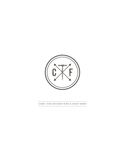

#### **CORK | FIRE KITCHEN WINE & SPIRIT MENU**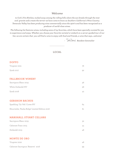## *Welcome*

 *to Cork | Fire Kitchen, tucked away among the rolling hills where the sun breaks through the mist and granite soils create the terroir we have come to know as Southern California's Wine Country. Temecula Valley has been producing wine commercially since the 1970's and has been recognized as a producer of world-class wines.*

*The following list features wines, including some of my favorites, which have been specially curated for you to experience and enjoy. Whether you choose your favorite varietal or embark on a server-guided tour of our list, we are certain that you will find a wine to enjoy with food and friends, a wine that says...welcome!*

 *- Resident Sommelier*

**LOCAL**

#### **DOFFO**

| Viognier 2021 | 76 |
|---------------|----|
| Syrah 2017    | 92 |

### **FALLBROOK WINERY**

| Sauvignon Blanc 2019 | .36 |
|----------------------|-----|
| White Zinfandel NV   | .36 |
| Syrah 2018           | 42  |

## **GERSHON BACHUS**

| Sparkling, 'Oy Veh' Cuvee NV                  | 64 |
|-----------------------------------------------|----|
| Mourvedre, 'Pauba Ridge' Limited Edition 2016 | 81 |

## **MARSHALL STUART CELLARS**

| Sauvignon Blanc 2019 | 32 |
|----------------------|----|
| Cabernet Franc 2015  | 44 |
| Zinfandel 2015       | 48 |

### **MONTE DE ORO**

| Viognier 2020                     |    |
|-----------------------------------|----|
| Cabernet Sauvignon 'Reserve' 2016 | 99 |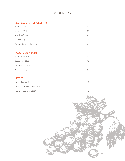# **MORE LOCAL**

## **PELTZER FAMILY CELLARS**

| Albarino 2020            | 36 |
|--------------------------|----|
| Viognier 2019            | 32 |
| Rustik Red 2018          | 48 |
| Malbec 2019              | 48 |
| Barbara-Tempranillo 2019 | 48 |

# **ROBERT RENZONI**

| Pinot Grigio 2021 | 41 |
|-------------------|----|
| Sangiovese 2016   | 36 |
| Tempranillo 2018  | 38 |
| Zinfandel 2015    | 38 |

## **WIENS**

| Fume Blanc 2018             | 36 |
|-----------------------------|----|
| Otra Cosa 'Knower' Blend NV | 32 |
| منوم أسال الباب المرابط     |    |

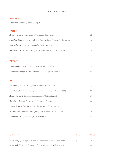## **BY THE GLASS**

## **BUBBLES**

*La Marca,* Prosecco*,* Veneto, Italy NV

|                                                                        | 12 |
|------------------------------------------------------------------------|----|
| <b>WHITE</b>                                                           |    |
| Robert Renzoni, Pinot Grigio, Temecula, California 2021                | 12 |
| Marshall Stuart, Sauvignon Blanc, Contra Costa County, California 2021 | 11 |
| Monte de Oro, Viognier, Temecula, California 2020                      | 16 |
| Matanzas Creek, Chardonnay, Alexander Valley, California 2018          | 20 |
|                                                                        |    |
| <b>BLUSH</b>                                                           |    |
| Fleur de Mer, Rosé, Cotes de Provence, France 2020                     | 16 |
| Fallbrook Winery, White Zinfandel, Fallbrook, California NV            | 12 |
|                                                                        |    |
| <b>RED</b>                                                             |    |
| Broadside, Printer's Alley, Paso Robles, California 2018               | 13 |
| Marshall Stuart, Cab Franc, Contra Costa County, California 2015       | 15 |
| Robert Renzoni, Tempranillo, Temecula, California 2018                 | 13 |
| Cloudline Cellars, Pinot Noir, Willamette, Oregon 2020                 | 20 |
| Peltzer Family Cellars, Malbec, Temecula, California 2019              | 16 |
| Vina Robles, Cabernet Sauvignon, Paso Robles, California 2019          | 16 |
| Fallbrook, Syrah, Fallbrook, California 2018                           | 14 |

| ON TAP                                                                     | Glass | Carafe |
|----------------------------------------------------------------------------|-------|--------|
| <b><i>Starborough</i></b> , Sauvignon Blanc, Marlborough, New Zealand 2020 | 13    | 40     |
| <b>Dry Creek</b> 'Heritage', Zinfandel, Sonoma County, California 2019     |       | 5С     |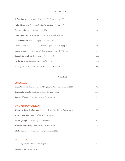## **BUBBLES**

| Robert Renzoni, Prosecco, Asolo DOCG, Italy 375 ml NV       | 26  |
|-------------------------------------------------------------|-----|
| Robert Renzoni, Prosecco, Asolo DOCG, Italy 750 ml NV       | 41  |
| La Marca, Prosecco, Veneto, Italy NV                        | 40  |
| Domaine Chandon, Brut 'étoile', Carneros, California NV     | 133 |
| Louis Roederer, Brut Champagne, France 2012                 | 225 |
| Veuve Clicquot, 'Yellow Label', Champagne, France NV 375 ml | 98  |
| Veuve Clicquot, 'Yellow Label', Champagne, France NV 750 ml | 150 |
| Dom Pérignon, Brut Champagne, France 2006                   | 400 |
| <b><i>Gusborne, Brut, 'Reserve', Kent, England 2014</i></b> | 160 |
| J Vineyards, Brut Rosé, Russian River, California, NV       | 96  |

#### **WHITES**

### *RIESLING*

| Fess Parker, 'Rodney's Vineyard' Dry, Santa Barbara, California 2019 | 56  |  |
|----------------------------------------------------------------------|-----|--|
| <b>Schloss Saarstein,</b> 'Spatlese', Mosel, Germany 2014            | 120 |  |
| Lucien Albrecht, 'Reserve', Alsace, France 2017                      | 56. |  |

### *SAUVIGNON BLANC*

| <i>Domaine Reverdy-Ducroux, Sancerre 'Beau Roy,' Loire, France 2020</i> | 68 |
|-------------------------------------------------------------------------|----|
| Chateau La Vierriere, Bordeaux, France 2019                             | 40 |
| Flora Springs, Napa Valley, California 2017                             | 80 |
| Cakebread Cellars, Napa Valley, California 2017                         | 86 |
| <i>Matanzas Creek, Sonoma County, California 2018</i>                   | 44 |

# *PINOT GRIS*

| Acrobat, Willamette Valley, Oregon 2021 | 48 |
|-----------------------------------------|----|
| Jermann, Fruili, Italy 2018             | 60 |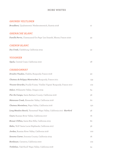## **MORE WHITES**

## *GRUNER VELTLINER*

| Broadbent, 'Qualitatswein' Niederosterreich, Austria 2018                 | 41  |
|---------------------------------------------------------------------------|-----|
| <b>GRENACHE BLANC</b>                                                     |     |
| Famille Perrin, Chateauneuf-Du-Pape 'Les Sinards', Rhone, France 2020     | 92  |
| <b>CHENIN BLANC</b>                                                       |     |
| Dry Creek, Clarksburg, California 2019                                    | 32  |
| <b>VIOGNIER</b>                                                           |     |
| Opolo, Central Coast, California 2020                                     | 38  |
| <b>CHARDONNAY</b>                                                         |     |
| Drouhin Vaudon, Chablis, Burgundy, France 2018                            | 90  |
| Chateau de Puligny-Montrachet, Burgundy, France 2011                      | 139 |
| Vincent Girardin, Pouilly-Fuisse, 'Vieilles Vignes' Burgundy, France 2017 | 102 |
| Siduri, Willamette Valley, Oregon 2019                                    | 64  |
| Flor De Campo, Santa Barbara County, California 2016                      | 56  |
| Matanzas Creek, Alexander Valley, California 2018                         | 60  |
| Chateau Montelena, Napa Valley, California 2016                           | 130 |
| Long Meadow Ranch, 'Farmstead' Napa Valley, California 2017 Hartford      | 56  |
| Court, Russian River Valley, California 2017                              | 76  |
| Brewer-Clifton, Santa Rita Hills, California 2015                         | 80  |
| Hahn, 'SLH' Santa Lucia Highlands, California 2017                        | 56  |
| Jordan, Russian River Valley, California 2018                             | 100 |
| Sonoma Cutrer, Sonoma County, California 2019                             | 76  |
| Rombauer, Carneros, California 2020                                       | 102 |
| Trefethen, 'Oak Knoll' Napa Valley, California 2018                       | 54  |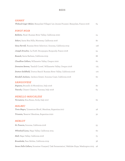## **REDS**

| <b>GAMAY</b><br>Thibault Liger-Belair, Beaujolais-Villages' Les Jeunes Pousses', Beaujolais, France 2016 | 64  |
|----------------------------------------------------------------------------------------------------------|-----|
| <b>PINOT NOIR</b>                                                                                        |     |
| Balletto, 'Rosé', Russian River Valley, California 2020                                                  | 24  |
| Siduri, Santa Rita Hills, Monterey, California 2016                                                      | 80  |
| Gary Farrell, 'Russian River Selection', Sonoma, California 2019                                         | 128 |
| Joseph Drouhin, 'La Forět', Bourgogne, Burgundy, France 2018                                             | 54  |
| Rusack, Santa Barbara, California 2019                                                                   | 88  |
| Cloudline Cellars, Willamette Valley, Oregon 2020                                                        | 60  |
| Domaine Serene, 'Yamhill Cuveé', Williamette Valley, Oregon 2016                                         | 175 |
| Dutton Goldfield, 'Dutton Ranch' Russian River Valley, California 2016                                   | 170 |
| Kendall Jackson, 'Jackson Estate', Sonoma Coast, California 2018                                         | 60  |
| <b>SANGIOVESE</b>                                                                                        |     |
| Argiano, Brunello di Montalcino, Italy 2016                                                              | 80  |
| Toscolo, Chianti Classico, Tuscany, Italy 2018                                                           | 64  |
| <b>NERELLO MASCALESE</b>                                                                                 |     |
| Tornatore, Etna Rosso, Sicily, Italy 2017                                                                | 62  |
| <b>MALBEC</b>                                                                                            |     |
| Tinto Negro, 'Limestone Block', Mendoza, Argentina 2017                                                  | 48  |
| Trivento, 'Reserve' Mendoza, Argentina 2020                                                              | 32  |
| <b>MERLOT</b>                                                                                            |     |
| St. Francis, Sonoma, California 2018                                                                     | 55  |
| Whitehall Lane, Napa Valley, California 2015                                                             | 60  |
| Hall, Napa Valley, California 2016                                                                       | 75  |
| Broadside, Paso Robles, California 2019                                                                  | 36  |
| Seven Falls Cellars, Stonetree Vineyard, 'Oak Fermentation', Wahluke Slope, Washington 2015              | 46  |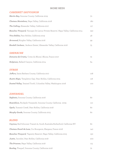## **MORE REDS**

## **CABERNET SAUVIGNON**

| Martin Ray, Sonoma County, California 2019                                           | 70  |
|--------------------------------------------------------------------------------------|-----|
| Chateau Montelena, Napa Valley, California 2018                                      | 180 |
| The Calling, Alexander Valley, California 2017                                       | 117 |
| Beaulieu Vineyard, 'Georges De Latour Private Reserve', Napa Valley, California 2014 | 250 |
| Vina Robles, Paso Robles, California 2019                                            | 48  |
| Arrowood, Knights Valley, California 2016                                            | 99  |
| Kendall Jackson, 'Jackson Estate', Alexander Valley, California 2016                 | 75  |
|                                                                                      |     |
| <b>GRENACHE</b><br>Domaine de Cristia, 'Cotes du Rhone', Rhone, France 2017          | 72  |
|                                                                                      |     |
| Stolpman, Ballard Canyon, California 2014                                            | 64  |
| <b>SYRAH</b>                                                                         |     |
| Jaffurs, Santa Barbara County, California 2017                                       | 108 |
| Austin Hope, 'Templeton Gap', Paso Robles, California 2015                           | 118 |
| Dusted Valley, 'Stained Tooth', Columbia Valley, Washington 2016                     | 100 |
|                                                                                      |     |
| ZINFANDEL                                                                            |     |
| Seghesio, Sonoma County, California 2016                                             | 80  |
| Rosenblum, 'Rockpile Vineyards', Sonoma County, California 2009                      | 110 |
| Opolo, 'Summit Creek', Paso Robles, California 2018                                  | 80  |
| Murphy Goode, Sonoma County, California 2015                                         | 80  |
|                                                                                      |     |
| <b>BLEND</b>                                                                         |     |
| Caymus, Red Schooner Transit #1, South Australia-Rutherford, California NV           | 80  |
| Chateau Paveil de Luze, Cru Bourgeois, Margaux, France 2016                          | 140 |
| Beaulieu Vineyard, 'Tapestry Reserve', Napa Valley, California 2015                  | 130 |
| Justin, 'Isoceles', Paso Robles, California 2018                                     | 200 |
| The Prisoner, Napa Valley, California 2018                                           | 115 |

Bootleg, 'Prequel', Sonoma County, California 2016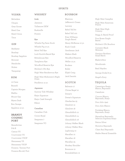#### **SPIRITS**

#### **VODKA**

Belvedere Chopin Grey Goose Ketel One Ketel Citron Titos

#### GIN

**Beefeater** Bombay **Bombay Sapphire Botonist** Hendricks **Nolets** Tanqueray

#### **RUM**

10-Cane Bacardi Captain Morgan Malibu Mount Gav Myers Dark Ron Zacapa Appleton 12 yr.

## **BRANDY COGNAC** PORT

Benedictine  $B & B$ Camus VS Courvoisier VS Courvoisier VSOP Hennessey VS Hennessey VSOP Fonseca Tawney Port Fonseca Bin #27 Port

#### **WHISKEY**

**Irish** Jameson Tullamore DEW Bushmills Powers

#### **Rye**

Whistle Pig Farm Stock Whistle Pig 10 yr. Rebel Yell Rye Lock Stock & Barrel Rye Rittenhouse Rye Templeton Rye Woodford Reserve Rye Michter's US1 Rye High West Rendezvous Rye High West Midwinter's Night Dram

Pendleton 12 yr.

#### **Japanese**

Suntory Toki Whiskey Kaiyo Signature Kaiyo Cask Strength Kikori

#### **Canadian**

Canadian Club Crown Royal Seagrams 7 Seagrams VO

### **BOURBON**

Blantons Jefferson's Ocean Larceny Rebel Yell 80 Rebel Yell 100 Evan Williams Single Barrel Henry McKenna 10 yr. Knob Creek Gentleman Jack Makers Mark Woodford Reserve Weller 12 yr. Bookers Bullet Elijah Craig Jack Daniels

## **SCOTCH**

Balvenie 17 Chivas Regal 12 Dewar's Dewar's Signature Glenfarclas 25 Glenlivet 12 Glenlivet 18 Glennfiddich 12 Glennfiddich 14 Glennfiddich 18 Johnny Walker Black Johnny Walker Blue Laphroaig 10 Macallan 12 Macallan 18 Macallan 25 Monkey Shoulder Bowmore 12 Bunnahabhain 12

High West Campfire

High West American Prairie

High West High **Country** 

Stagg Jr. Barrel Proof

Four Roses Single Barrel

Michter's US1 Bourbon

Cutwater Black Skimmer

Garrison Brothers Small Batch

Blade & Bow

Woodinvale

Basil Hayden

George Dickel 8 yr.

Angel's Envy

#### **TEQUILA**

Casamigos Anejo, Blanco, Reposado

Cazadores

Cincoro Blanco, Reposado, Anejo

Don Julio 1942

Don Julio Blanco

Fortaleza Blanco, Reposado, Anejo

Herradura Reposado, Selecion Suprema Anejo

Patron Silver

Hornitos Reposado

Clase Azul Reposado

Madre Mezcal Ensamble